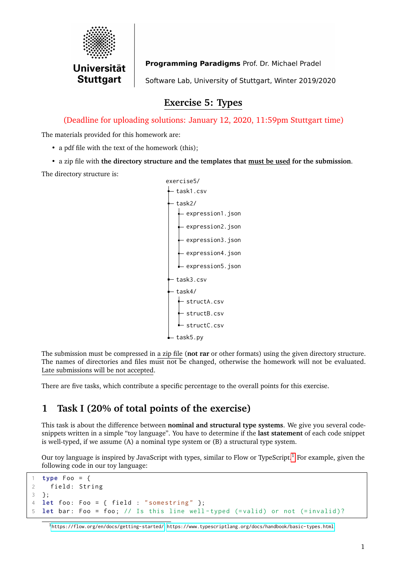

Programming Paradigms Prof. Dr. Michael Pradel Software Lab, University of Stuttgart, Winter 2019/2020

## **Exercise 5: Types**

(Deadline for uploading solutions: January 12, 2020, 11:59pm Stuttgart time)

The materials provided for this homework are:

- a pdf file with the text of the homework (this);
- a zip file with **the directory structure and the templates that must be used for the submission**.

The directory structure is:



The submission must be compressed in a zip file (**not rar** or other formats) using the given directory structure. The names of directories and files must not be changed, otherwise the homework will not be evaluated. Late submissions will be not accepted.

There are five tasks, which contribute a specific percentage to the overall points for this exercise.

# **1 Task I (20% of total points of the exercise)**

This task is about the difference between **nominal and structural type systems**. We give you several codesnippets written in a simple "toy language". You have to determine if the **last statement** of each code snippet is well-typed, if we assume (A) a nominal type system or (B) a structural type system.

Our toy language is inspired by JavaScript with types, similar to Flow or TypeScript.[1](#page-0-0) For example, given the following code in our toy language:

```
1 type Foo = {
2 field: String
3 };
4 let foo : Foo = { field : " somestring " };
5 let bar: Foo = foo; // Is this line well-typed (=valid) or not (=invalid)?
```
<span id="page-0-0"></span><sup>1</sup><https://flow.org/en/docs/getting-started/>, <https://www.typescriptlang.org/docs/handbook/basic-types.html>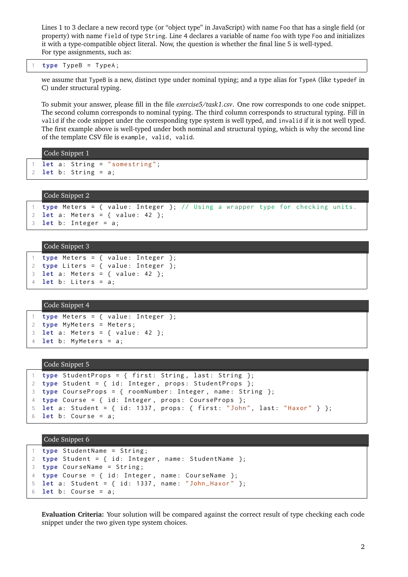Lines 1 to 3 declare a new record type (or "object type" in JavaScript) with name Foo that has a single field (or property) with name field of type String. Line 4 declares a variable of name foo with type Foo and initializes it with a type-compatible object literal. Now, the question is whether the final line 5 is well-typed. For type assignments, such as:

### type TypeB = TypeA;

we assume that TypeB is a new, distinct type under nominal typing; and a type alias for TypeA (like typedef in C) under structural typing.

To submit your answer, please fill in the file *exercise5/task1.csv*. One row corresponds to one code snippet. The second column corresponds to nominal typing. The third column corresponds to structural typing. Fill in valid if the code snippet under the corresponding type system is well typed, and invalid if it is not well typed. The first example above is well-typed under both nominal and structural typing, which is why the second line of the template CSV file is example, valid, valid.

```
Code Snippet 1
  let a: String = "somestring";
2 let b: String = a;
```
### Code Snippet 2

```
type Meters = { value: Integer }; // Using a wrapper type for checking units.
2 let a: Meters = { value: 42 };
3 let b: Integer = a;
```

```
Code Snippet 3
```

```
1 type Meters = \{ value: Integer \};2 type Liters = { value: Integer };
3 let a: Meters = { value: 42 };
4 let b: Liters = a;
```
### Code Snippet 4

```
1 type Meters = { value: Integer };
2 type MyMeters = Meters ;
3 let a: Meters = { value: 42 };
4 let b: MyMeters = a;
```
### Code Snippet 5

```
type StudentProps = { first: String, last: String };
2 type Student = { id: Integer, props: StudentProps };
3 type CourseProps = { roomNumber : Integer , name : String };
4 type Course = { id: Integer, props: CourseProps };
5 let a: Student = { id: 1337, props: { first: "John", last: "Haxor" } };
6 let b : Course = a ;
```
## Code Snippet 6

```
1 type StudentName = String ;
2 type Student = { id: Integer, name: StudentName };
3 type CourseName = String ;
4 type Course = { id: Integer, name: CourseName };
5 let a: Student = { id: 1337, name: "John_Haxor" };
6 let b: Course = a;
```
**Evaluation Criteria:** Your solution will be compared against the correct result of type checking each code snippet under the two given type system choices.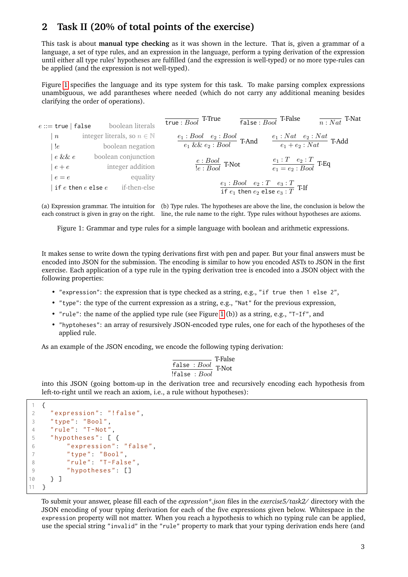## **2 Task II (20% of total points of the exercise)**

This task is about **manual type checking** as it was shown in the lecture. That is, given a grammar of a language, a set of type rules, and an expression in the language, perform a typing derivation of the expression until either all type rules' hypotheses are fulfilled (and the expression is well-typed) or no more type-rules can be applied (and the expression is not well-typed).

Figure [1](#page-2-0) specifies the language and its type system for this task. To make parsing complex expressions unambiguous, we add parantheses where needed (which do not carry any additional meaning besides clarifying the order of operations).

<span id="page-2-0"></span>

| $e ::=$ true   false | boolean literals                         | $\overline{\mathsf{true} :Bool}$ T-True                    | $\overline{\mathsf{false} :Bool}$ T-False<br>$\overline{n : Nat}$ T-Nat       |
|----------------------|------------------------------------------|------------------------------------------------------------|-------------------------------------------------------------------------------|
| $\boldsymbol{n}$     | integer literals, so $n \in \mathbb{N}$  | $\frac{e_1:Bool\quad e_2:Bool}{e_1\ \&\&\ e_2:Bool}$ T-And | $\frac{e_1: Nat \quad e_2: Nat}{e_1 + e_2: Nat}$ T-Add                        |
| !e                   | boolean negation                         |                                                            |                                                                               |
| $e\ \&\ \&\ e$       | boolean conjunction                      |                                                            |                                                                               |
| $e+e$                | integer addition                         | $\frac{e:Bool}{!e:Bool}$ T-Not                             | $\frac{e_1 : T \quad e_2 : T}{e_1 = e_2 : Bool}$ T-Eq                         |
| $e = e$              | equality                                 |                                                            |                                                                               |
|                      | if-then-else<br>if $e$ then $e$ else $e$ |                                                            | $e_1 : Bool \t e_2 : T \t e_3 : T$<br>if $e_1$ then $e_2$ else $e_3 : T$ T-If |

(a) Expression grammar. The intuition for (b) Type rules. The hypotheses are above the line, the conclusion is below the each construct is given in gray on the right. line, the rule name to the right. Type rules without hypotheses are axioms.

Figure 1: Grammar and type rules for a simple language with boolean and arithmetic expressions.

It makes sense to write down the typing derivations first with pen and paper. But your final answers must be encoded into JSON for the submission. The encoding is similar to how you encoded ASTs to JSON in the first exercise. Each application of a type rule in the typing derivation tree is encoded into a JSON object with the following properties:

- "expression": the expression that is type checked as a string, e.g., "if true then 1 else 2",
- "type": the type of the current expression as a string, e.g., "Nat" for the previous expression,
- "rule": the name of the applied type rule (see Figure [1](#page-2-0) (b)) as a string, e.g., "T-If", and
- "hyptoheses": an array of resursively JSON-encoded type rules, one for each of the hypotheses of the applied rule.

As an example of the JSON encoding, we encode the following typing derivation:

$$
\frac{\overline{\mathsf{false}} : Bool}{\mathsf{false} : Bool} \xrightarrow{\mathsf{T-False}}
$$

into this JSON (going bottom-up in the derivation tree and recursively encoding each hypothesis from left-to-right until we reach an axiom, i.e., a rule without hypotheses):

```
1 \quad \{2 " expression ": "! false ",
3 " type ": " Bool ",
4 " rule ": "T-Not ",
5 " hypotheses ": [ {
6 " expression ": " false ",
7 " type ": " Bool ",
8 "rule" : "T-False",9 "hypotheses": []
10 } ]
11 }
```
To submit your answer, please fill each of the *expression\*.json* files in the *exercise5/task2/* directory with the JSON encoding of your typing derivation for each of the five expressions given below. Whitespace in the expression property will not matter. When you reach a hypothesis to which no typing rule can be applied, use the special string "invalid" in the "rule" property to mark that your typing derivation ends here (and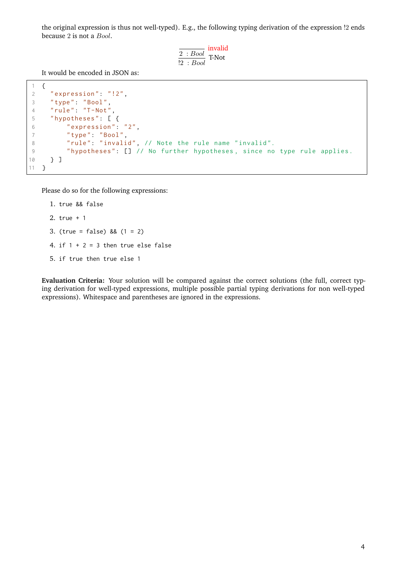the original expression is thus not well-typed). E.g., the following typing derivation of the expression !2 ends because 2 is not a Bool.

$$
\frac{\overline{2:Bool}}{\underline{?:Bool}}
$$
 T-Not

It would be encoded in JSON as:

```
1 \quad \{2 " expression": "!2",
3 " type ": " Bool ",
4 " rule ": "T-Not ",
5 " hypotheses ": [ {
6 " expression": "2",
7 " type ": " Bool ",
8 " rule": "invalid", // Note the rule name "invalid".
9 "hypotheses": [] // No further hypotheses, since no type rule applies.
10 } ]
11 }
```
Please do so for the following expressions:

```
1. true && false
2. true + 1
3. (true = false) && (1 = 2)
4. if 1 + 2 = 3 then true else false
5. if true then true else 1
```
**Evaluation Criteria:** Your solution will be compared against the correct solutions (the full, correct typing derivation for well-typed expressions, multiple possible partial typing derivations for non well-typed expressions). Whitespace and parentheses are ignored in the expressions.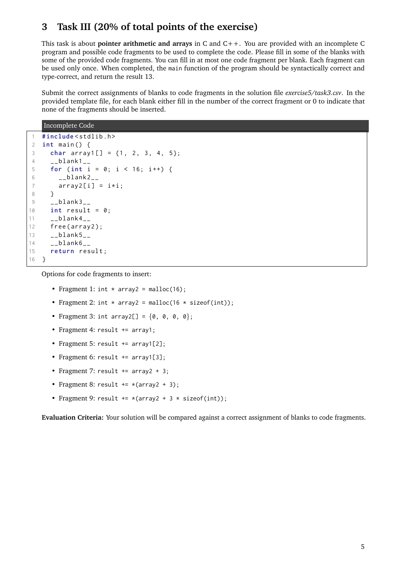## **3 Task III (20% of total points of the exercise)**

This task is about **pointer arithmetic and arrays** in C and C++. You are provided with an incomplete C program and possible code fragments to be used to complete the code. Please fill in some of the blanks with some of the provided code fragments. You can fill in at most one code fragment per blank. Each fragment can be used only once. When completed, the main function of the program should be syntactically correct and type-correct, and return the result 13.

Submit the correct assignments of blanks to code fragments in the solution file *exercise5/task3.csv*. In the provided template file, for each blank either fill in the number of the correct fragment or 0 to indicate that none of the fragments should be inserted.

```
Incomplete Code
```

```
1 # include < stdlib .h >
2 int main () {
3 char array1[] = \{1, 2, 3, 4, 5\};
4 -Lblank1_{-}5 for ( int i = 0; i < 16; i ++) {
6 \_blank2\_7 array2[i] = i * i;8 }
9 - blank3 -10 int result = 0;
11 \qquad \qquad \_ \text{blank4} \_ \text{c}12 free (array 2);
13 __blank5__
14 - 51ank6 - 115 return result ;
16 }
```
Options for code fragments to insert:

- Fragment 1: int  $*$  array2 = malloc(16);
- Fragment 2: int  $*$  array2 = malloc(16  $*$  sizeof(int));
- Fragment 3: int array2[] =  $\{0, 0, 0, 0\}$ ;
- Fragment 4: result += array1;
- Fragment 5: result += array1[2];
- Fragment 6: result += array1[3];
- Fragment 7: result  $+=$  array2  $+3$ ;
- Fragment 8: result  $+=$  \*(array2 + 3);
- Fragment 9: result  $+=*(array2 + 3 * sizeof(int));$

**Evaluation Criteria:** Your solution will be compared against a correct assignment of blanks to code fragments.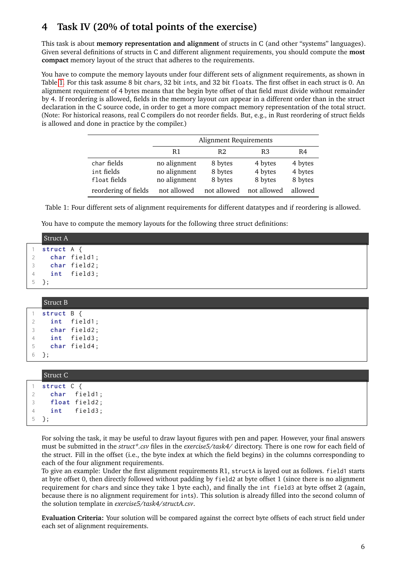# **4 Task IV (20% of total points of the exercise)**

This task is about **memory representation and alignment** of structs in C (and other "systems" languages). Given several definitions of structs in C and different alignment requirements, you should compute the **most compact** memory layout of the struct that adheres to the requirements.

You have to compute the memory layouts under four different sets of alignment requirements, as shown in Table [1.](#page-5-0) For this task assume 8 bit chars, 32 bit ints, and 32 bit floats. The first offset in each struct is 0. An alignment requirement of 4 bytes means that the begin byte offset of that field must divide without remainder by 4. If reordering is allowed, fields in the memory layout *can* appear in a different order than in the struct declaration in the C source code, in order to get a more compact memory representation of the total struct. (Note: For historical reasons, real C compilers do not reorder fields. But, e.g., in Rust reordering of struct fields is allowed and done in practice by the compiler.)

<span id="page-5-0"></span>

|                                           | Alignment Requirements                       |                               |                               |                               |
|-------------------------------------------|----------------------------------------------|-------------------------------|-------------------------------|-------------------------------|
|                                           | R1                                           | R <sub>2</sub>                | R <sub>3</sub>                | R4                            |
| char fields<br>int fields<br>float fields | no alignment<br>no alignment<br>no alignment | 8 bytes<br>8 bytes<br>8 bytes | 4 bytes<br>4 bytes<br>8 bytes | 4 bytes<br>4 bytes<br>8 bytes |
| reordering of fields                      | not allowed                                  | not allowed                   | not allowed                   | allowed                       |

Table 1: Four different sets of alignment requirements for different datatypes and if reordering is allowed.

You have to compute the memory layouts for the following three struct definitions:

|   | <b>Struct A</b> |
|---|-----------------|
|   | struct A {      |
|   | char field1;    |
| 3 | char field2;    |
| 4 | int field3;     |
|   | $5 \;$ };       |
|   |                 |
|   | <b>Struct B</b> |
|   | struct B        |

|                | struct B { |              |
|----------------|------------|--------------|
| $\mathcal{P}$  |            | int field1;  |
| 3              |            | char field2; |
| $\overline{4}$ |            | int field3;  |
| 5              |            | char field4; |
| 6              |            |              |

| Struct C               |
|------------------------|
| struct $C \{$          |
| 2 char field1;         |
| 3 <b>float</b> field2; |
| 4 int field3;          |
| $5 \lambda$ :          |

For solving the task, it may be useful to draw layout figures with pen and paper. However, your final answers must be submitted in the *struct\*.csv* files in the *exercise5/task4/* directory. There is one row for each field of the struct. Fill in the offset (i.e., the byte index at which the field begins) in the columns corresponding to each of the four alignment requirements.

To give an example: Under the first alignment requirements R1, structA is layed out as follows. field1 starts at byte offset 0, then directly followed without padding by field2 at byte offset 1 (since there is no alignment requirement for chars and since they take 1 byte each), and finally the int field3 at byte offset 2 (again, because there is no alignment requirement for ints). This solution is already filled into the second column of the solution template in *exercise5/task4/structA.csv*.

**Evaluation Criteria:** Your solution will be compared against the correct byte offsets of each struct field under each set of alignment requirements.